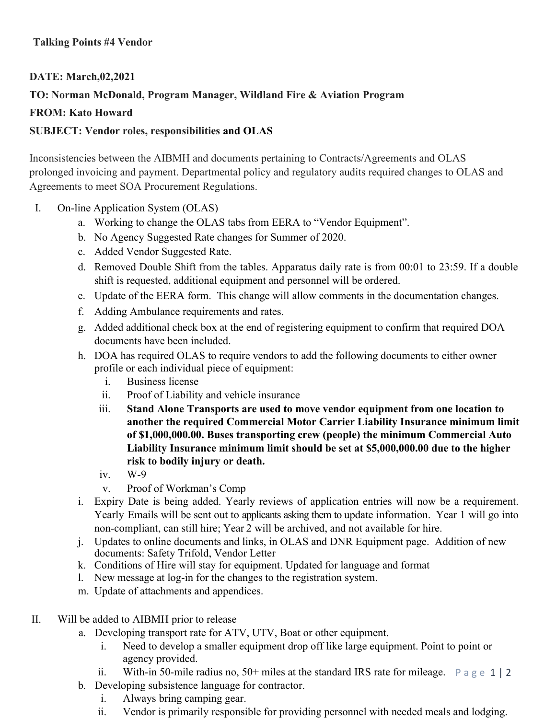## **Talking Points #4 Vendor**

## **DATE: March,02,2021 TO: Norman McDonald, Program Manager, Wildland Fire & Aviation Program FROM: Kato Howard SUBJECT: Vendor roles, responsibilities and OLAS**

Inconsistencies between the AIBMH and documents pertaining to Contracts/Agreements and OLAS prolonged invoicing and payment. Departmental policy and regulatory audits required changes to OLAS and Agreements to meet SOA Procurement Regulations.

- I. On-line Application System (OLAS)
	- a. Working to change the OLAS tabs from EERA to "Vendor Equipment".
	- b. No Agency Suggested Rate changes for Summer of 2020.
	- c. Added Vendor Suggested Rate.
	- d. Removed Double Shift from the tables. Apparatus daily rate is from 00:01 to 23:59. If a double shift is requested, additional equipment and personnel will be ordered.
	- e. Update of the EERA form. This change will allow comments in the documentation changes.
	- f. Adding Ambulance requirements and rates.
	- g. Added additional check box at the end of registering equipment to confirm that required DOA documents have been included.
	- h. DOA has required OLAS to require vendors to add the following documents to either owner profile or each individual piece of equipment:
		- i. Business license
		- ii. Proof of Liability and vehicle insurance
		- iii. **Stand Alone Transports are used to move vendor equipment from one location to another the required Commercial Motor Carrier Liability Insurance minimum limit of \$1,000,000.00. Buses transporting crew (people) the minimum Commercial Auto Liability Insurance minimum limit should be set at \$5,000,000.00 due to the higher risk to bodily injury or death.**
		- iv. W-9
		- v. Proof of Workman's Comp
	- i. Expiry Date is being added. Yearly reviews of application entries will now be a requirement. Yearly Emails will be sent out to applicants asking them to update information. Year 1 will go into non-compliant, can still hire; Year 2 will be archived, and not available for hire.
	- j. Updates to online documents and links, in OLAS and DNR Equipment page. Addition of new documents: Safety Trifold, Vendor Letter
	- k. Conditions of Hire will stay for equipment. Updated for language and format
	- l. New message at log-in for the changes to the registration system.
	- m. Update of attachments and appendices.
- II. Will be added to AIBMH prior to release
	- a. Developing transport rate for ATV, UTV, Boat or other equipment.
		- i. Need to develop a smaller equipment drop off like large equipment. Point to point or agency provided.
		- ii. With-in 50-mile radius no, 50+ miles at the standard IRS rate for mileage.  $\Box$   $\rho$  a g e 1 | 2
	- b. Developing subsistence language for contractor.
		- i. Always bring camping gear.
		- ii. Vendor is primarily responsible for providing personnel with needed meals and lodging.